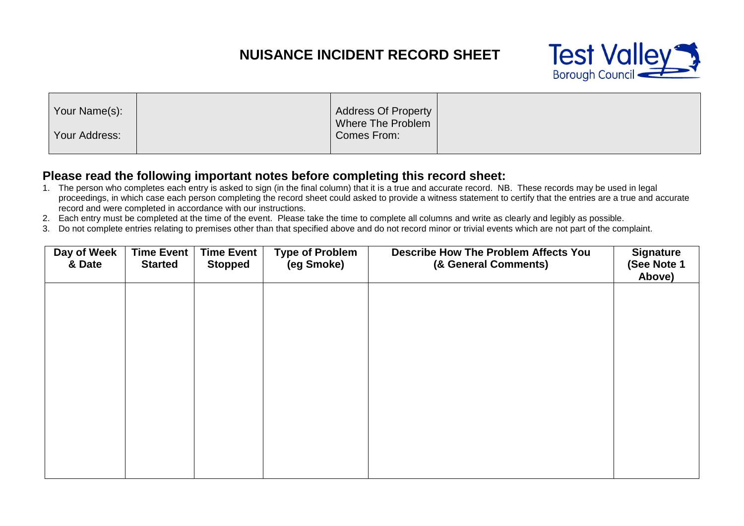## **NUISANCE INCIDENT RECORD SHEET**



|--|

## **Please read the following important notes before completing this record sheet:**

- 1. The person who completes each entry is asked to sign (in the final column) that it is a true and accurate record. NB. These records may be used in legal proceedings, in which case each person completing the record sheet could asked to provide a witness statement to certify that the entries are a true and accurate record and were completed in accordance with our instructions.
- 2. Each entry must be completed at the time of the event. Please take the time to complete all columns and write as clearly and legibly as possible.
- 3. Do not complete entries relating to premises other than that specified above and do not record minor or trivial events which are not part of the complaint.

| Day of Week<br>& Date | <b>Time Event</b><br><b>Started</b> | <b>Time Event</b><br><b>Stopped</b> | <b>Type of Problem</b><br>(eg Smoke) | <b>Describe How The Problem Affects You</b><br>(& General Comments) | <b>Signature</b><br>(See Note 1<br>Above) |
|-----------------------|-------------------------------------|-------------------------------------|--------------------------------------|---------------------------------------------------------------------|-------------------------------------------|
|                       |                                     |                                     |                                      |                                                                     |                                           |
|                       |                                     |                                     |                                      |                                                                     |                                           |
|                       |                                     |                                     |                                      |                                                                     |                                           |
|                       |                                     |                                     |                                      |                                                                     |                                           |
|                       |                                     |                                     |                                      |                                                                     |                                           |